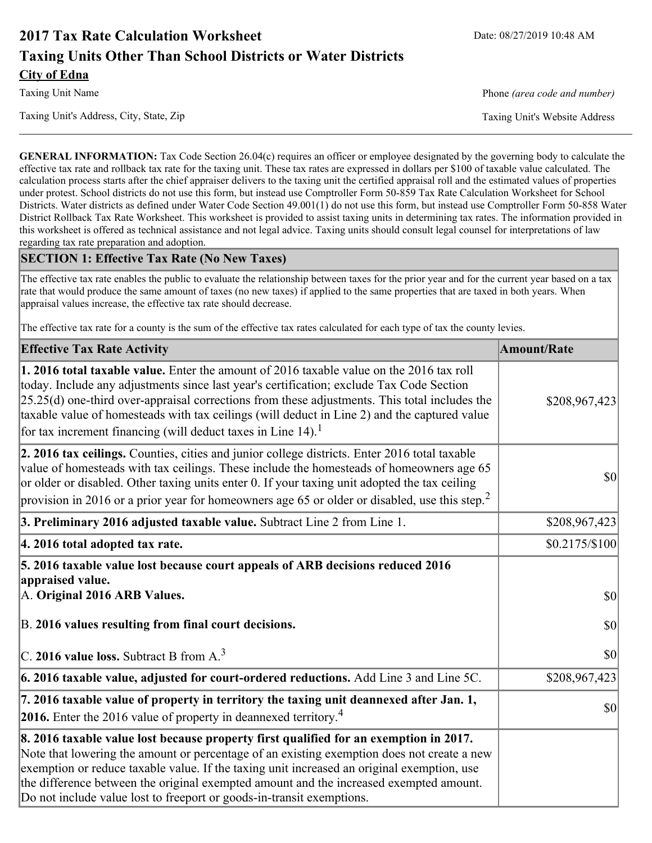# **2017 Tax Rate Calculation Worksheet** Date: 08/27/2019 10:48 AM **Taxing Units Other Than School Districts or Water Districts City of Edna**

Taxing Unit's Address, City, State, Zip Taxing Unit's Website Address

Taxing Unit Name **Phone** *(area code and number)* Phone *(area code and number)* 

**GENERAL INFORMATION:** Tax Code Section 26.04(c) requires an officer or employee designated by the governing body to calculate the effective tax rate and rollback tax rate for the taxing unit. These tax rates are expressed in dollars per \$100 of taxable value calculated. The calculation process starts after the chief appraiser delivers to the taxing unit the certified appraisal roll and the estimated values of properties under protest. School districts do not use this form, but instead use Comptroller Form 50-859 Tax Rate Calculation Worksheet for School Districts. Water districts as defined under Water Code Section 49.001(1) do not use this form, but instead use Comptroller Form 50-858 Water District Rollback Tax Rate Worksheet. This worksheet is provided to assist taxing units in determining tax rates. The information provided in this worksheet is offered as technical assistance and not legal advice. Taxing units should consult legal counsel for interpretations of law regarding tax rate preparation and adoption.

### **SECTION 1: Effective Tax Rate (No New Taxes)**

The effective tax rate enables the public to evaluate the relationship between taxes for the prior year and for the current year based on a tax rate that would produce the same amount of taxes (no new taxes) if applied to the same properties that are taxed in both years. When appraisal values increase, the effective tax rate should decrease.

The effective tax rate for a county is the sum of the effective tax rates calculated for each type of tax the county levies.

| <b>Effective Tax Rate Activity</b>                                                                                                                                                                                                                                                                                                                                                                                                                      | <b>Amount/Rate</b> |
|---------------------------------------------------------------------------------------------------------------------------------------------------------------------------------------------------------------------------------------------------------------------------------------------------------------------------------------------------------------------------------------------------------------------------------------------------------|--------------------|
| 1. 2016 total taxable value. Enter the amount of 2016 taxable value on the 2016 tax roll<br>today. Include any adjustments since last year's certification; exclude Tax Code Section<br>$[25.25(d)$ one-third over-appraisal corrections from these adjustments. This total includes the<br>taxable value of homesteads with tax ceilings (will deduct in Line 2) and the captured value<br>for tax increment financing (will deduct taxes in Line 14). | \$208,967,423      |
| 2. 2016 tax ceilings. Counties, cities and junior college districts. Enter 2016 total taxable<br>value of homesteads with tax ceilings. These include the homesteads of homeowners age 65<br>or older or disabled. Other taxing units enter 0. If your taxing unit adopted the tax ceiling<br>provision in 2016 or a prior year for homeowners age 65 or older or disabled, use this step. <sup>2</sup>                                                 | 30                 |
| 3. Preliminary 2016 adjusted taxable value. Subtract Line 2 from Line 1.                                                                                                                                                                                                                                                                                                                                                                                | \$208,967,423      |
| 4. 2016 total adopted tax rate.                                                                                                                                                                                                                                                                                                                                                                                                                         | \$0.2175/S100      |
| 5. 2016 taxable value lost because court appeals of ARB decisions reduced 2016<br>appraised value.<br>A. Original 2016 ARB Values.                                                                                                                                                                                                                                                                                                                      | $ 10\rangle$       |
| B. 2016 values resulting from final court decisions.                                                                                                                                                                                                                                                                                                                                                                                                    | 30                 |
| C. 2016 value loss. Subtract B from $A3$                                                                                                                                                                                                                                                                                                                                                                                                                | 30                 |
| 6. 2016 taxable value, adjusted for court-ordered reductions. Add Line 3 and Line 5C.                                                                                                                                                                                                                                                                                                                                                                   | \$208,967,423      |
| 7. 2016 taxable value of property in territory the taxing unit deannexed after Jan. 1,<br><b>2016.</b> Enter the 2016 value of property in deannexed territory. <sup>4</sup>                                                                                                                                                                                                                                                                            | $ 10\rangle$       |
| 8. 2016 taxable value lost because property first qualified for an exemption in 2017.<br>Note that lowering the amount or percentage of an existing exemption does not create a new<br>exemption or reduce taxable value. If the taxing unit increased an original exemption, use<br>the difference between the original exempted amount and the increased exempted amount.<br>Do not include value lost to freeport or goods-in-transit exemptions.    |                    |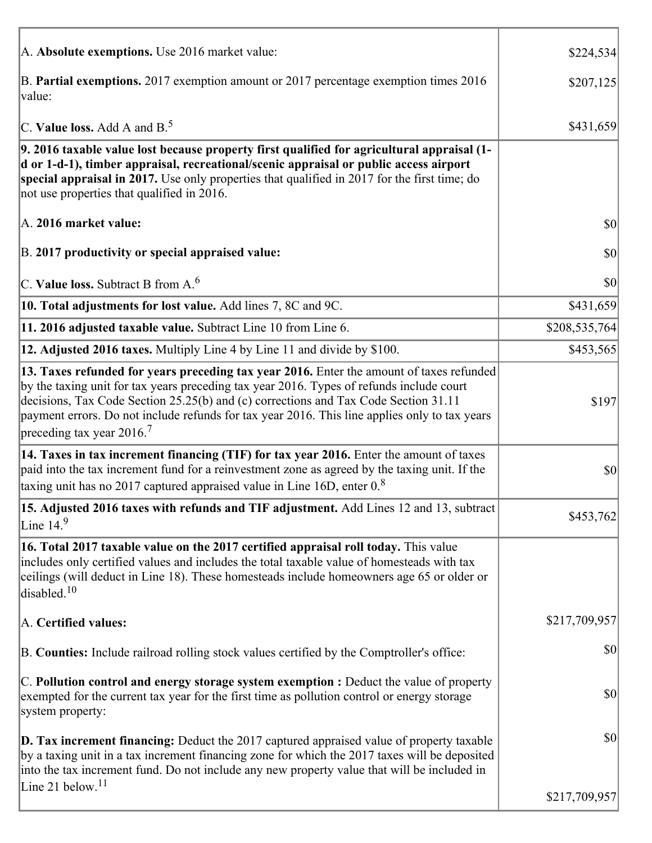| A. Absolute exemptions. Use 2016 market value:                                                                                                                                                                                                                                                                                                                                                                        | \$224,534     |
|-----------------------------------------------------------------------------------------------------------------------------------------------------------------------------------------------------------------------------------------------------------------------------------------------------------------------------------------------------------------------------------------------------------------------|---------------|
| B. Partial exemptions. 2017 exemption amount or 2017 percentage exemption times 2016<br>value:                                                                                                                                                                                                                                                                                                                        | \$207,125     |
| C. Value loss. Add A and $B^5$ .                                                                                                                                                                                                                                                                                                                                                                                      | \$431,659     |
| 9. 2016 taxable value lost because property first qualified for agricultural appraisal (1-<br>d or 1-d-1), timber appraisal, recreational/scenic appraisal or public access airport<br>special appraisal in 2017. Use only properties that qualified in 2017 for the first time; do<br>not use properties that qualified in 2016.                                                                                     |               |
| A. 2016 market value:                                                                                                                                                                                                                                                                                                                                                                                                 | 30            |
| B. 2017 productivity or special appraised value:                                                                                                                                                                                                                                                                                                                                                                      | \$0           |
| C. Value loss. Subtract B from $A6$                                                                                                                                                                                                                                                                                                                                                                                   | \$0           |
| 10. Total adjustments for lost value. Add lines 7, 8C and 9C.                                                                                                                                                                                                                                                                                                                                                         | \$431,659     |
| 11. 2016 adjusted taxable value. Subtract Line 10 from Line 6.                                                                                                                                                                                                                                                                                                                                                        | \$208,535,764 |
| 12. Adjusted 2016 taxes. Multiply Line 4 by Line 11 and divide by \$100.                                                                                                                                                                                                                                                                                                                                              | \$453,565     |
| 13. Taxes refunded for years preceding tax year 2016. Enter the amount of taxes refunded<br>by the taxing unit for tax years preceding tax year 2016. Types of refunds include court<br>decisions, Tax Code Section 25.25(b) and (c) corrections and Tax Code Section 31.11<br>payment errors. Do not include refunds for tax year 2016. This line applies only to tax years<br>preceding tax year 2016. <sup>7</sup> | \$197         |
| 14. Taxes in tax increment financing (TIF) for tax year 2016. Enter the amount of taxes<br>paid into the tax increment fund for a reinvestment zone as agreed by the taxing unit. If the<br>taxing unit has no 2017 captured appraised value in Line 16D, enter $0.8$                                                                                                                                                 | \$0           |
| 15. Adjusted 2016 taxes with refunds and TIF adjustment. Add Lines 12 and 13, subtract<br>Line $149$                                                                                                                                                                                                                                                                                                                  | \$453,762     |
| 16. Total 2017 taxable value on the 2017 certified appraisal roll today. This value<br>includes only certified values and includes the total taxable value of homesteads with tax<br>ceilings (will deduct in Line 18). These homesteads include homeowners age 65 or older or<br>disabled. <sup>10</sup>                                                                                                             |               |
| A. Certified values:                                                                                                                                                                                                                                                                                                                                                                                                  | \$217,709,957 |
| B. Counties: Include railroad rolling stock values certified by the Comptroller's office:                                                                                                                                                                                                                                                                                                                             | \$0           |
| $ C$ . Pollution control and energy storage system exemption : Deduct the value of property<br>exempted for the current tax year for the first time as pollution control or energy storage<br>system property:                                                                                                                                                                                                        | \$0           |
| <b>D. Tax increment financing:</b> Deduct the 2017 captured appraised value of property taxable<br>by a taxing unit in a tax increment financing zone for which the 2017 taxes will be deposited<br>into the tax increment fund. Do not include any new property value that will be included in                                                                                                                       | \$0           |
| Line 21 below. <sup>11</sup>                                                                                                                                                                                                                                                                                                                                                                                          | \$217,709,957 |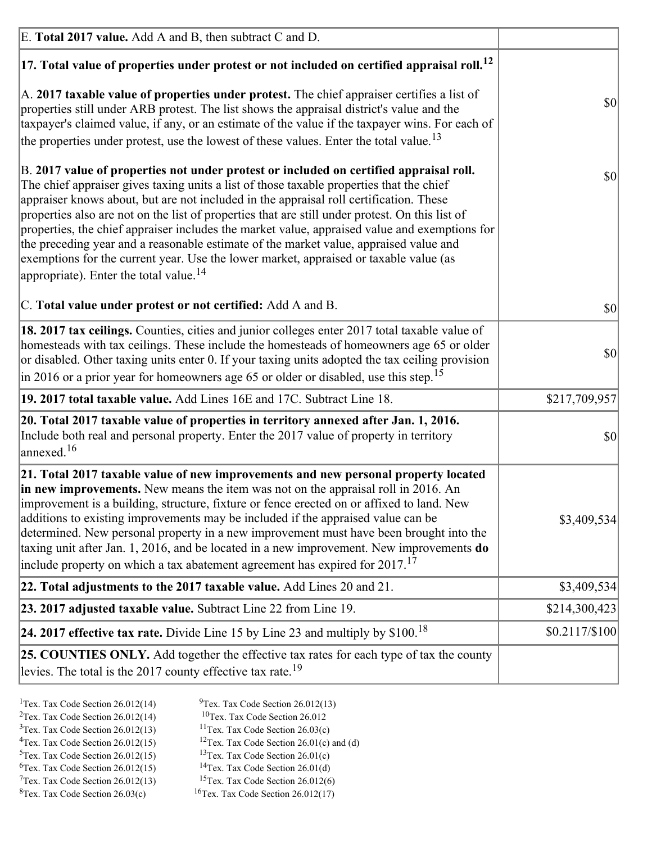| E. Total 2017 value. Add A and B, then subtract C and D.                                                                                                                                                                                                                                                                                                                                                                                                                                                                                                                                                                                                                                                                 |                        |
|--------------------------------------------------------------------------------------------------------------------------------------------------------------------------------------------------------------------------------------------------------------------------------------------------------------------------------------------------------------------------------------------------------------------------------------------------------------------------------------------------------------------------------------------------------------------------------------------------------------------------------------------------------------------------------------------------------------------------|------------------------|
| $ 17$ . Total value of properties under protest or not included on certified appraisal roll. <sup>12</sup>                                                                                                                                                                                                                                                                                                                                                                                                                                                                                                                                                                                                               |                        |
| A. 2017 taxable value of properties under protest. The chief appraiser certifies a list of<br>properties still under ARB protest. The list shows the appraisal district's value and the<br>taxpayer's claimed value, if any, or an estimate of the value if the taxpayer wins. For each of<br>the properties under protest, use the lowest of these values. Enter the total value. <sup>13</sup>                                                                                                                                                                                                                                                                                                                         | \$0                    |
| B. 2017 value of properties not under protest or included on certified appraisal roll.<br>The chief appraiser gives taxing units a list of those taxable properties that the chief<br>appraiser knows about, but are not included in the appraisal roll certification. These<br>properties also are not on the list of properties that are still under protest. On this list of<br>properties, the chief appraiser includes the market value, appraised value and exemptions for<br>the preceding year and a reasonable estimate of the market value, appraised value and<br>exemptions for the current year. Use the lower market, appraised or taxable value (as<br>appropriate). Enter the total value. <sup>14</sup> | <b>\$0</b>             |
| C. Total value under protest or not certified: Add A and B.                                                                                                                                                                                                                                                                                                                                                                                                                                                                                                                                                                                                                                                              | $ 10\rangle$           |
| 18. 2017 tax ceilings. Counties, cities and junior colleges enter 2017 total taxable value of<br>homesteads with tax ceilings. These include the homesteads of homeowners age 65 or older<br>or disabled. Other taxing units enter 0. If your taxing units adopted the tax ceiling provision<br>$\vert$ in 2016 or a prior year for homeowners age 65 or older or disabled, use this step. <sup>15</sup>                                                                                                                                                                                                                                                                                                                 | \$0                    |
| 19. 2017 total taxable value. Add Lines 16E and 17C. Subtract Line 18.                                                                                                                                                                                                                                                                                                                                                                                                                                                                                                                                                                                                                                                   | \$217,709,957          |
| 20. Total 2017 taxable value of properties in territory annexed after Jan. 1, 2016.<br>Include both real and personal property. Enter the 2017 value of property in territory<br>$\alpha$ annexed. <sup>16</sup>                                                                                                                                                                                                                                                                                                                                                                                                                                                                                                         | $ 10\rangle$           |
| 21. Total 2017 taxable value of new improvements and new personal property located<br>in new improvements. New means the item was not on the appraisal roll in 2016. An<br>improvement is a building, structure, fixture or fence erected on or affixed to land. New<br>additions to existing improvements may be included if the appraised value can be<br>determined. New personal property in a new improvement must have been brought into the<br>taxing unit after Jan. 1, 2016, and be located in a new improvement. New improvements <b>do</b><br>include property on which a tax abatement agreement has expired for $2017$ . <sup>17</sup>                                                                      | \$3,409,534            |
| 22. Total adjustments to the 2017 taxable value. Add Lines 20 and 21.                                                                                                                                                                                                                                                                                                                                                                                                                                                                                                                                                                                                                                                    | \$3,409,534            |
| 23. 2017 adjusted taxable value. Subtract Line 22 from Line 19.                                                                                                                                                                                                                                                                                                                                                                                                                                                                                                                                                                                                                                                          | \$214,300,423          |
| 24. 2017 effective tax rate. Divide Line 15 by Line 23 and multiply by $$100$ . <sup>18</sup>                                                                                                                                                                                                                                                                                                                                                                                                                                                                                                                                                                                                                            | $$0.2117\frac{$100}{}$ |
| 25. COUNTIES ONLY. Add together the effective tax rates for each type of tax the county<br>levies. The total is the 2017 county effective tax rate. <sup>19</sup>                                                                                                                                                                                                                                                                                                                                                                                                                                                                                                                                                        |                        |

- <sup>2</sup>Tex. Tax Code Section 26.012(14)
- <sup>1</sup>Tex. Tax Code Section 26.012(14) <sup>9</sup>Tex. Tax Code Section 26.012(13) <sup>9</sup>Tex. Tax Code Section 26.012
	-
- <sup>3</sup>Tex. Tax Code Section 26.012(13) <sup>11</sup>Tex. Tax Code Section 26.03(c) <sup>4</sup>Tex. Tax Code Section 26.01(c) and <sup>12</sup>Tex. Tax Code Section 26.01(c) and <sup>12</sup>Tex. Tax Code Section 26.01(c) and <sup>12</sup>Tex. Tax Code Section 26.01(c)
	- <sup>12</sup>Tex. Tax Code Section 26.01(c) and (d)
- 
- <sup>5</sup>Tex. Tax Code Section 26.012(15) <sup>13</sup>Tex. Tax Code Section 26.01(c) <sup>6</sup>Tex. Tax Code Section 26.01(d) <sup>6</sup>Tex. Tax Code Section 26.012(15) <sup>14</sup>Tex. Tax Code Section 26.01(d)<sup>7</sup>Tex. Tax Code Section 26.012(6)
- $7$ Tex. Tax Code Section 26.012(13)
- 
- 
- ${}^{8}$ Tex. Tax Code Section 26.03(c)  ${}^{16}$ Tex. Tax Code Section 26.012(17)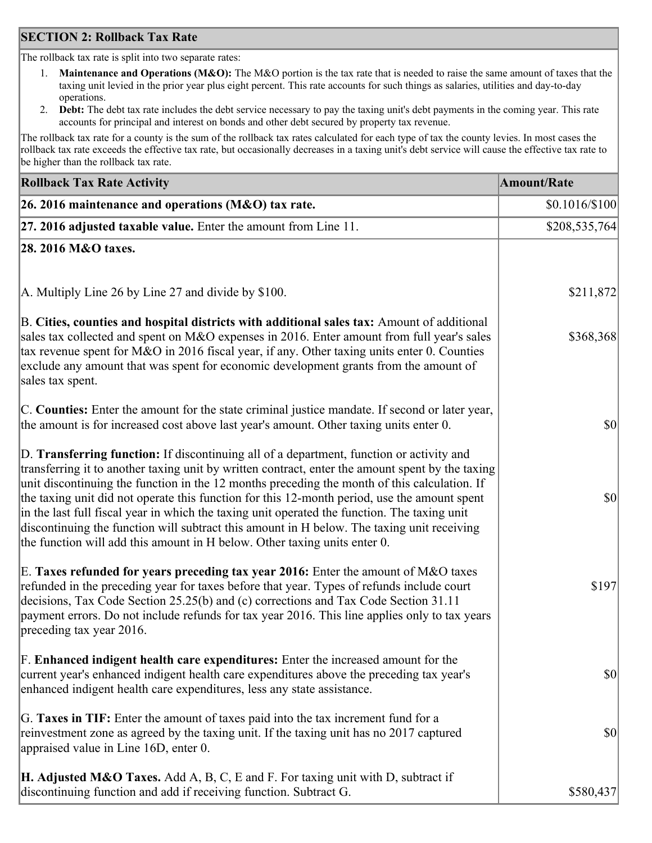### **SECTION 2: Rollback Tax Rate**

The rollback tax rate is split into two separate rates:

- 1. **Maintenance and Operations (M&O):** The M&O portion is the tax rate that is needed to raise the same amount of taxes that the taxing unit levied in the prior year plus eight percent. This rate accounts for such things as salaries, utilities and day-to-day operations.
- 2. **Debt:** The debt tax rate includes the debt service necessary to pay the taxing unit's debt payments in the coming year. This rate accounts for principal and interest on bonds and other debt secured by property tax revenue.

The rollback tax rate for a county is the sum of the rollback tax rates calculated for each type of tax the county levies. In most cases the rollback tax rate exceeds the effective tax rate, but occasionally decreases in a taxing unit's debt service will cause the effective tax rate to be higher than the rollback tax rate.

| <b>Rollback Tax Rate Activity</b>                                                                                                                                                                                                                                                                                                                                                                                                                                                                                                                                                                                                                                       | <b>Amount/Rate</b> |
|-------------------------------------------------------------------------------------------------------------------------------------------------------------------------------------------------------------------------------------------------------------------------------------------------------------------------------------------------------------------------------------------------------------------------------------------------------------------------------------------------------------------------------------------------------------------------------------------------------------------------------------------------------------------------|--------------------|
| 26. 2016 maintenance and operations (M&O) tax rate.                                                                                                                                                                                                                                                                                                                                                                                                                                                                                                                                                                                                                     | $$0.1016/\$100$    |
| 27. 2016 adjusted taxable value. Enter the amount from Line 11.                                                                                                                                                                                                                                                                                                                                                                                                                                                                                                                                                                                                         | \$208,535,764      |
| 28. 2016 M&O taxes.                                                                                                                                                                                                                                                                                                                                                                                                                                                                                                                                                                                                                                                     |                    |
|                                                                                                                                                                                                                                                                                                                                                                                                                                                                                                                                                                                                                                                                         |                    |
| A. Multiply Line 26 by Line 27 and divide by \$100.                                                                                                                                                                                                                                                                                                                                                                                                                                                                                                                                                                                                                     | \$211,872          |
| B. Cities, counties and hospital districts with additional sales tax: Amount of additional<br>sales tax collected and spent on M&O expenses in 2016. Enter amount from full year's sales<br>tax revenue spent for M&O in 2016 fiscal year, if any. Other taxing units enter 0. Counties<br>exclude any amount that was spent for economic development grants from the amount of<br>sales tax spent.                                                                                                                                                                                                                                                                     | \$368,368          |
| C. Counties: Enter the amount for the state criminal justice mandate. If second or later year,<br>the amount is for increased cost above last year's amount. Other taxing units enter 0.                                                                                                                                                                                                                                                                                                                                                                                                                                                                                | $ 10\rangle$       |
| D. Transferring function: If discontinuing all of a department, function or activity and<br>transferring it to another taxing unit by written contract, enter the amount spent by the taxing<br>unit discontinuing the function in the 12 months preceding the month of this calculation. If<br>the taxing unit did not operate this function for this 12-month period, use the amount spent<br>in the last full fiscal year in which the taxing unit operated the function. The taxing unit<br>discontinuing the function will subtract this amount in H below. The taxing unit receiving<br>the function will add this amount in H below. Other taxing units enter 0. | $ 10\rangle$       |
| E. Taxes refunded for years preceding tax year 2016: Enter the amount of M&O taxes<br>refunded in the preceding year for taxes before that year. Types of refunds include court<br>decisions, Tax Code Section 25.25(b) and (c) corrections and Tax Code Section 31.11<br>payment errors. Do not include refunds for tax year 2016. This line applies only to tax years<br>preceding tax year 2016.                                                                                                                                                                                                                                                                     | \$197              |
| F. Enhanced indigent health care expenditures: Enter the increased amount for the<br>current year's enhanced indigent health care expenditures above the preceding tax year's<br>enhanced indigent health care expenditures, less any state assistance.                                                                                                                                                                                                                                                                                                                                                                                                                 | <b>\$0</b>         |
| G. Taxes in TIF: Enter the amount of taxes paid into the tax increment fund for a<br>reinvestment zone as agreed by the taxing unit. If the taxing unit has no 2017 captured<br>appraised value in Line 16D, enter 0.                                                                                                                                                                                                                                                                                                                                                                                                                                                   | $ 10\rangle$       |
| <b>H. Adjusted M&amp;O Taxes.</b> Add A, B, C, E and F. For taxing unit with D, subtract if<br>discontinuing function and add if receiving function. Subtract G.                                                                                                                                                                                                                                                                                                                                                                                                                                                                                                        | \$580,437          |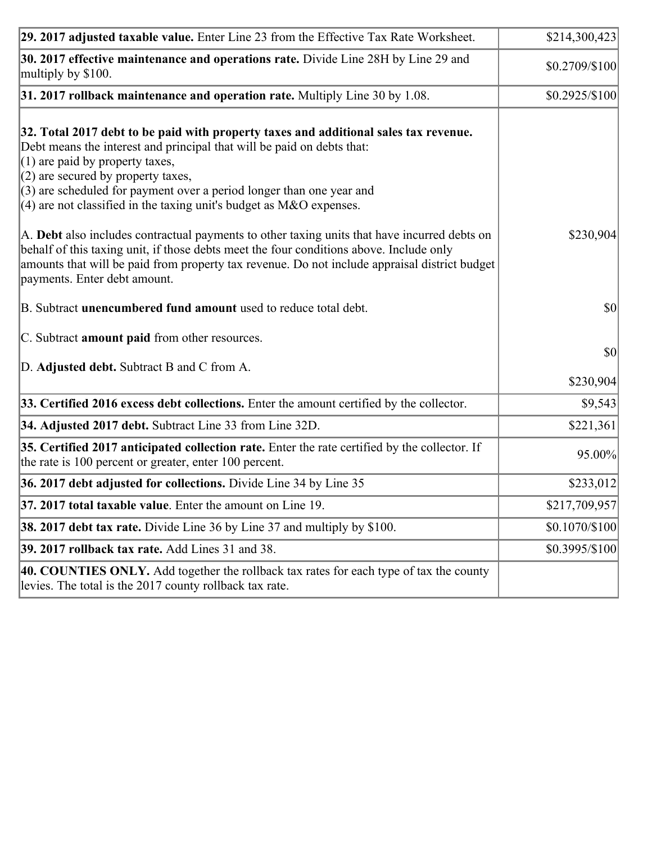| 29. 2017 adjusted taxable value. Enter Line 23 from the Effective Tax Rate Worksheet.                                                                                                                                                                                                                                                                                                          | \$214,300,423   |
|------------------------------------------------------------------------------------------------------------------------------------------------------------------------------------------------------------------------------------------------------------------------------------------------------------------------------------------------------------------------------------------------|-----------------|
| 30. 2017 effective maintenance and operations rate. Divide Line 28H by Line 29 and<br>multiply by \$100.                                                                                                                                                                                                                                                                                       | \$0.2709/\$100  |
| $31.2017$ rollback maintenance and operation rate. Multiply Line 30 by 1.08.                                                                                                                                                                                                                                                                                                                   | $$0.2925/\$100$ |
| 32. Total 2017 debt to be paid with property taxes and additional sales tax revenue.<br>Debt means the interest and principal that will be paid on debts that:<br>$(1)$ are paid by property taxes,<br>$(2)$ are secured by property taxes,<br>$(3)$ are scheduled for payment over a period longer than one year and<br>$(4)$ are not classified in the taxing unit's budget as M&O expenses. |                 |
| A. Debt also includes contractual payments to other taxing units that have incurred debts on<br>behalf of this taxing unit, if those debts meet the four conditions above. Include only<br>amounts that will be paid from property tax revenue. Do not include appraisal district budget<br>payments. Enter debt amount.                                                                       | \$230,904       |
| B. Subtract unencumbered fund amount used to reduce total debt.                                                                                                                                                                                                                                                                                                                                | \$0             |
| C. Subtract amount paid from other resources.<br>D. Adjusted debt. Subtract B and C from A.                                                                                                                                                                                                                                                                                                    | \$0             |
|                                                                                                                                                                                                                                                                                                                                                                                                | \$230,904       |
| 33. Certified 2016 excess debt collections. Enter the amount certified by the collector.                                                                                                                                                                                                                                                                                                       | \$9,543         |
| 34. Adjusted 2017 debt. Subtract Line 33 from Line 32D.                                                                                                                                                                                                                                                                                                                                        | \$221,361       |
| 35. Certified 2017 anticipated collection rate. Enter the rate certified by the collector. If<br>the rate is 100 percent or greater, enter 100 percent.                                                                                                                                                                                                                                        | 95.00%          |
| 36. 2017 debt adjusted for collections. Divide Line 34 by Line 35                                                                                                                                                                                                                                                                                                                              | \$233,012       |
| 37. 2017 total taxable value. Enter the amount on Line 19.                                                                                                                                                                                                                                                                                                                                     | \$217,709,957   |
| <b>38. 2017 debt tax rate.</b> Divide Line 36 by Line 37 and multiply by \$100.                                                                                                                                                                                                                                                                                                                | \$0.1070/\$100  |
| 39. 2017 rollback tax rate. Add Lines 31 and 38.                                                                                                                                                                                                                                                                                                                                               | \$0.3995/\$100  |
| 40. COUNTIES ONLY. Add together the rollback tax rates for each type of tax the county<br>levies. The total is the 2017 county rollback tax rate.                                                                                                                                                                                                                                              |                 |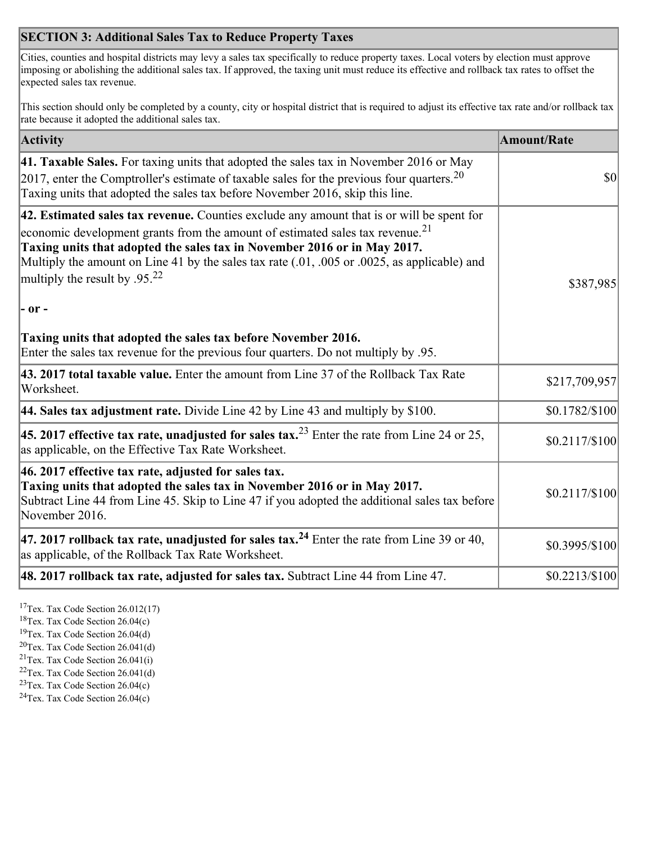## **SECTION 3: Additional Sales Tax to Reduce Property Taxes**

Cities, counties and hospital districts may levy a sales tax specifically to reduce property taxes. Local voters by election must approve imposing or abolishing the additional sales tax. If approved, the taxing unit must reduce its effective and rollback tax rates to offset the expected sales tax revenue.

This section should only be completed by a county, city or hospital district that is required to adjust its effective tax rate and/or rollback tax rate because it adopted the additional sales tax.

| <b>Activity</b>                                                                                                                                                                                                                                                                                                                                                                                                 | <b>Amount/Rate</b> |
|-----------------------------------------------------------------------------------------------------------------------------------------------------------------------------------------------------------------------------------------------------------------------------------------------------------------------------------------------------------------------------------------------------------------|--------------------|
| 41. Taxable Sales. For taxing units that adopted the sales tax in November 2016 or May<br>[2017, enter the Comptroller's estimate of taxable sales for the previous four quarters. <sup>20</sup><br>Taxing units that adopted the sales tax before November 2016, skip this line.                                                                                                                               | $\vert$ so $\vert$ |
| 42. Estimated sales tax revenue. Counties exclude any amount that is or will be spent for<br>economic development grants from the amount of estimated sales tax revenue. <sup>21</sup><br>Taxing units that adopted the sales tax in November 2016 or in May 2017.<br>Multiply the amount on Line 41 by the sales tax rate (.01, .005 or .0025, as applicable) and<br>multiply the result by .95. <sup>22</sup> | \$387,985          |
| - or -                                                                                                                                                                                                                                                                                                                                                                                                          |                    |
| Taxing units that adopted the sales tax before November 2016.<br>Enter the sales tax revenue for the previous four quarters. Do not multiply by .95.                                                                                                                                                                                                                                                            |                    |
| 43. 2017 total taxable value. Enter the amount from Line 37 of the Rollback Tax Rate<br>Worksheet.                                                                                                                                                                                                                                                                                                              | \$217,709,957      |
| 44. Sales tax adjustment rate. Divide Line 42 by Line 43 and multiply by $$100$ .                                                                                                                                                                                                                                                                                                                               | \$0.1782/\$100     |
| 45. 2017 effective tax rate, unadjusted for sales tax. <sup>23</sup> Enter the rate from Line 24 or 25,<br>as applicable, on the Effective Tax Rate Worksheet.                                                                                                                                                                                                                                                  | $$0.2117/\$100$    |
| 46. 2017 effective tax rate, adjusted for sales tax.<br>Taxing units that adopted the sales tax in November 2016 or in May 2017.<br>Subtract Line 44 from Line 45. Skip to Line 47 if you adopted the additional sales tax before<br>November 2016.                                                                                                                                                             | \$0.2117/\$100     |
| 47. 2017 rollback tax rate, unadjusted for sales tax. <sup>24</sup> Enter the rate from Line 39 or 40,<br>as applicable, of the Rollback Tax Rate Worksheet.                                                                                                                                                                                                                                                    | \$0.3995/\$100     |
| $ 48.2017$ rollback tax rate, adjusted for sales tax. Subtract Line 44 from Line 47.                                                                                                                                                                                                                                                                                                                            | \$0.2213/\$100     |

<sup>17</sup>Tex. Tax Code Section 26.012(17)

<sup>18</sup>Tex. Tax Code Section 26.04(c)

<sup>19</sup>Tex. Tax Code Section 26.04(d)

<sup>20</sup>Tex. Tax Code Section 26.041(d)

- $21$ Tex. Tax Code Section 26.041(i)
- <sup>22</sup>Tex. Tax Code Section 26.041(d)
- <sup>23</sup>Tex. Tax Code Section  $26.04(c)$

<sup>24</sup>Tex. Tax Code Section  $26.04(c)$